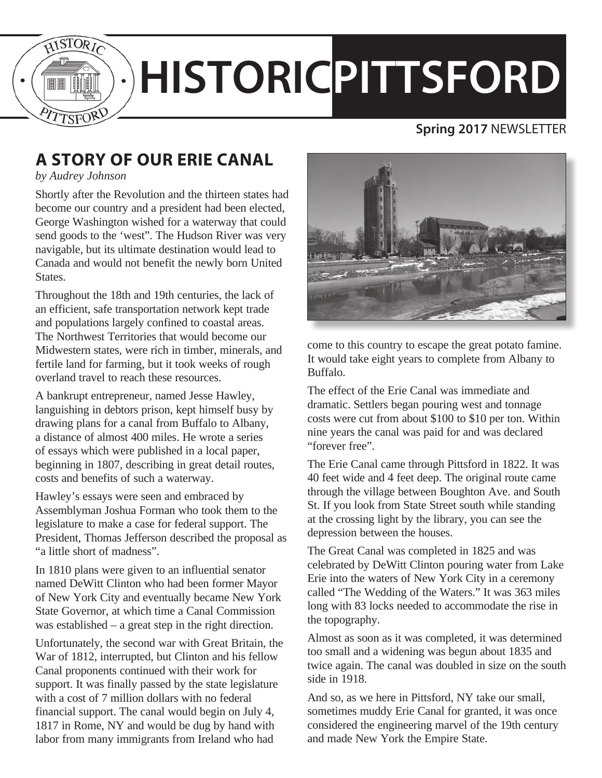

# **HISTORICPITTSFORD**

### **Spring 2017** NEWSLETTER

# **A STORY OF OUR ERIE CANAL**

*by Audrey Johnson*

Shortly after the Revolution and the thirteen states had become our country and a president had been elected, George Washington wished for a waterway that could send goods to the 'west". The Hudson River was very navigable, but its ultimate destination would lead to Canada and would not benefit the newly born United States.

Throughout the 18th and 19th centuries, the lack of an efficient, safe transportation network kept trade and populations largely confined to coastal areas. The Northwest Territories that would become our Midwestern states, were rich in timber, minerals, and fertile land for farming, but it took weeks of rough overland travel to reach these resources.

A bankrupt entrepreneur, named Jesse Hawley, languishing in debtors prison, kept himself busy by drawing plans for a canal from Buffalo to Albany, a distance of almost 400 miles. He wrote a series of essays which were published in a local paper, beginning in 1807, describing in great detail routes, costs and benefits of such a waterway.

Hawley's essays were seen and embraced by Assemblyman Joshua Forman who took them to the legislature to make a case for federal support. The President, Thomas Jefferson described the proposal as "a little short of madness".

In 1810 plans were given to an influential senator named DeWitt Clinton who had been former Mayor of New York City and eventually became New York State Governor, at which time a Canal Commission was established – a great step in the right direction.

Unfortunately, the second war with Great Britain, the War of 1812, interrupted, but Clinton and his fellow Canal proponents continued with their work for support. It was finally passed by the state legislature with a cost of 7 million dollars with no federal financial support. The canal would begin on July 4, 1817 in Rome, NY and would be dug by hand with labor from many immigrants from Ireland who had



come to this country to escape the great potato famine. It would take eight years to complete from Albany to Buffalo.

The effect of the Erie Canal was immediate and dramatic. Settlers began pouring west and tonnage costs were cut from about \$100 to \$10 per ton. Within nine years the canal was paid for and was declared "forever free".

The Erie Canal came through Pittsford in 1822. It was 40 feet wide and 4 feet deep. The original route came through the village between Boughton Ave. and South St. If you look from State Street south while standing at the crossing light by the library, you can see the depression between the houses.

The Great Canal was completed in 1825 and was celebrated by DeWitt Clinton pouring water from Lake Erie into the waters of New York City in a ceremony called "The Wedding of the Waters." It was 363 miles long with 83 locks needed to accommodate the rise in the topography.

Almost as soon as it was completed, it was determined too small and a widening was begun about 1835 and twice again. The canal was doubled in size on the south side in 1918.

And so, as we here in Pittsford, NY take our small, sometimes muddy Erie Canal for granted, it was once considered the engineering marvel of the 19th century and made New York the Empire State.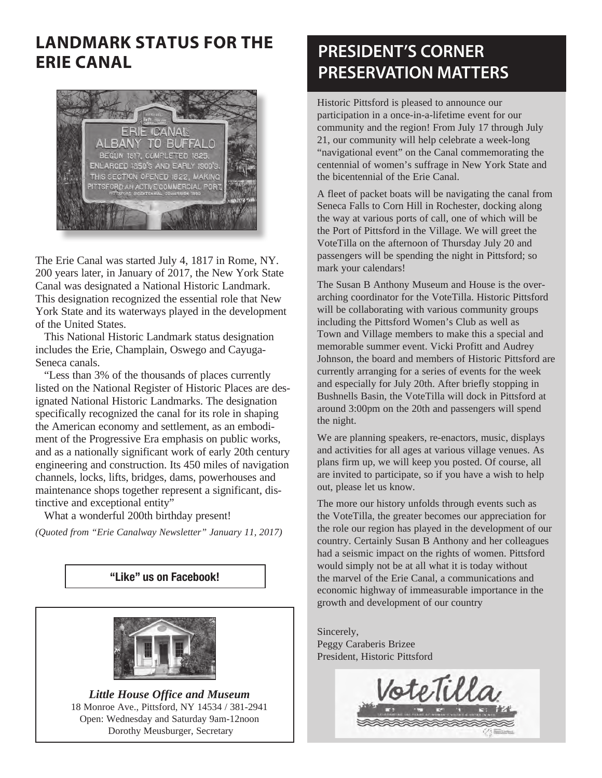## **LANDMARK STATUS FOR THE ERIE CANAL**



The Erie Canal was started July 4, 1817 in Rome, NY. 200 years later, in January of 2017, the New York State Canal was designated a National Historic Landmark. This designation recognized the essential role that New York State and its waterways played in the development of the United States.

This National Historic Landmark status designation includes the Erie, Champlain, Oswego and Cayuga-Seneca canals.

"Less than 3% of the thousands of places currently listed on the National Register of Historic Places are designated National Historic Landmarks. The designation specifically recognized the canal for its role in shaping the American economy and settlement, as an embodiment of the Progressive Era emphasis on public works, and as a nationally significant work of early 20th century engineering and construction. Its 450 miles of navigation channels, locks, lifts, bridges, dams, powerhouses and maintenance shops together represent a significant, distinctive and exceptional entity"

What a wonderful 200th birthday present!

*(Quoted from "Erie Canalway Newsletter" January 11, 2017)*

#### "Like" us on Facebook!



*Little House Office and Museum* 18 Monroe Ave., Pittsford, NY 14534 / 381-2941 Open: Wednesday and Saturday 9am-12noon Dorothy Meusburger, Secretary

## **PRESIDENT'S CORNER PRESERVATION MATTERS**

Historic Pittsford is pleased to announce our participation in a once-in-a-lifetime event for our community and the region! From July 17 through July 21, our community will help celebrate a week-long "navigational event" on the Canal commemorating the centennial of women's suffrage in New York State and the bicentennial of the Erie Canal.

A fleet of packet boats will be navigating the canal from Seneca Falls to Corn Hill in Rochester, docking along the way at various ports of call, one of which will be the Port of Pittsford in the Village. We will greet the VoteTilla on the afternoon of Thursday July 20 and passengers will be spending the night in Pittsford; so mark your calendars!

The Susan B Anthony Museum and House is the overarching coordinator for the VoteTilla. Historic Pittsford will be collaborating with various community groups including the Pittsford Women's Club as well as Town and Village members to make this a special and memorable summer event. Vicki Profitt and Audrey Johnson, the board and members of Historic Pittsford are currently arranging for a series of events for the week and especially for July 20th. After briefly stopping in Bushnells Basin, the VoteTilla will dock in Pittsford at around 3:00pm on the 20th and passengers will spend the night.

We are planning speakers, re-enactors, music, displays and activities for all ages at various village venues. As plans firm up, we will keep you posted. Of course, all are invited to participate, so if you have a wish to help out, please let us know.

The more our history unfolds through events such as the VoteTilla, the greater becomes our appreciation for the role our region has played in the development of our country. Certainly Susan B Anthony and her colleagues had a seismic impact on the rights of women. Pittsford would simply not be at all what it is today without the marvel of the Erie Canal, a communications and economic highway of immeasurable importance in the growth and development of our country

Sincerely, Peggy Caraberis Brizee President, Historic Pittsford

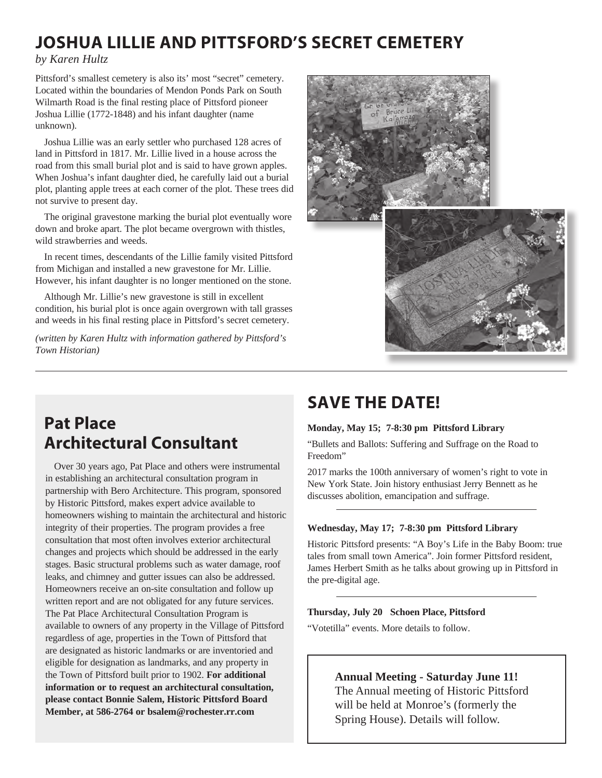## **JOSHUA LILLIE AND PITTSFORD'S SECRET CEMETERY**

*by Karen Hultz*

Pittsford's smallest cemetery is also its' most "secret" cemetery. Located within the boundaries of Mendon Ponds Park on South Wilmarth Road is the final resting place of Pittsford pioneer Joshua Lillie (1772-1848) and his infant daughter (name unknown).

Joshua Lillie was an early settler who purchased 128 acres of land in Pittsford in 1817. Mr. Lillie lived in a house across the road from this small burial plot and is said to have grown apples. When Joshua's infant daughter died, he carefully laid out a burial plot, planting apple trees at each corner of the plot. These trees did not survive to present day.

The original gravestone marking the burial plot eventually wore down and broke apart. The plot became overgrown with thistles, wild strawberries and weeds.

In recent times, descendants of the Lillie family visited Pittsford from Michigan and installed a new gravestone for Mr. Lillie. However, his infant daughter is no longer mentioned on the stone.

Although Mr. Lillie's new gravestone is still in excellent condition, his burial plot is once again overgrown with tall grasses and weeds in his final resting place in Pittsford's secret cemetery.

*(written by Karen Hultz with information gathered by Pittsford's Town Historian)*



## **Pat Place Architectural Consultant**

Over 30 years ago, Pat Place and others were instrumental in establishing an architectural consultation program in partnership with Bero Architecture. This program, sponsored by Historic Pittsford, makes expert advice available to homeowners wishing to maintain the architectural and historic integrity of their properties. The program provides a free consultation that most often involves exterior architectural changes and projects which should be addressed in the early stages. Basic structural problems such as water damage, roof leaks, and chimney and gutter issues can also be addressed. Homeowners receive an on-site consultation and follow up written report and are not obligated for any future services. The Pat Place Architectural Consultation Program is available to owners of any property in the Village of Pittsford regardless of age, properties in the Town of Pittsford that are designated as historic landmarks or are inventoried and eligible for designation as landmarks, and any property in the Town of Pittsford built prior to 1902. **For additional information or to request an architectural consultation, please contact Bonnie Salem, Historic Pittsford Board Member, at 586-2764 or bsalem@rochester.rr.com** 

## **SAVE THE DATE!**

#### **Monday, May 15; 7-8:30 pm Pittsford Library**

"Bullets and Ballots: Suffering and Suffrage on the Road to Freedom"

2017 marks the 100th anniversary of women's right to vote in New York State. Join history enthusiast Jerry Bennett as he discusses abolition, emancipation and suffrage.

#### **Wednesday, May 17; 7-8:30 pm Pittsford Library**

Historic Pittsford presents: "A Boy's Life in the Baby Boom: true tales from small town America". Join former Pittsford resident, James Herbert Smith as he talks about growing up in Pittsford in the pre-digital age.

#### **Thursday, July 20 Schoen Place, Pittsford**

"Votetilla" events. More details to follow.

#### **Annual Meeting - Saturday June 11!**

The Annual meeting of Historic Pittsford will be held at Monroe's (formerly the Spring House). Details will follow.